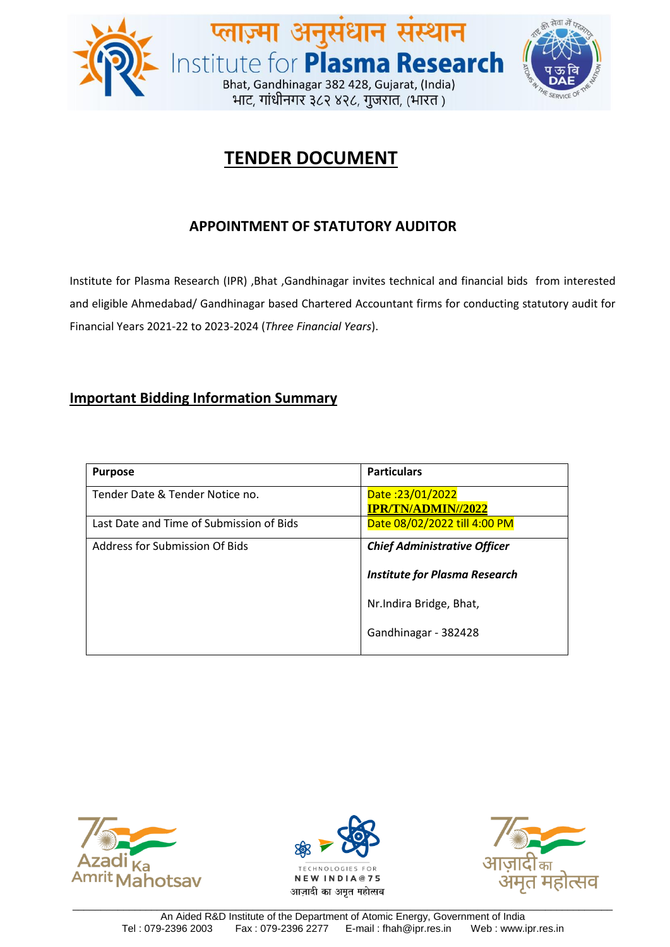

# **TENDER DOCUMENT**

# **APPOINTMENT OF STATUTORY AUDITOR**

Institute for Plasma Research (IPR) ,Bhat ,Gandhinagar invites technical and financial bids from interested and eligible Ahmedabad/ Gandhinagar based Chartered Accountant firms for conducting statutory audit for Financial Years 2021-22 to 2023-2024 (*Three Financial Years*).

## **Important Bidding Information Summary**

| <b>Purpose</b>                           | <b>Particulars</b>                            |  |
|------------------------------------------|-----------------------------------------------|--|
| Tender Date & Tender Notice no.          | Date: 23/01/2022<br><b>IPR/TN/ADMIN//2022</b> |  |
| Last Date and Time of Submission of Bids | Date 08/02/2022 till 4:00 PM                  |  |
| Address for Submission Of Bids           | <b>Chief Administrative Officer</b>           |  |
|                                          | <b>Institute for Plasma Research</b>          |  |
|                                          | Nr. Indira Bridge, Bhat,                      |  |
|                                          | Gandhinagar - 382428                          |  |





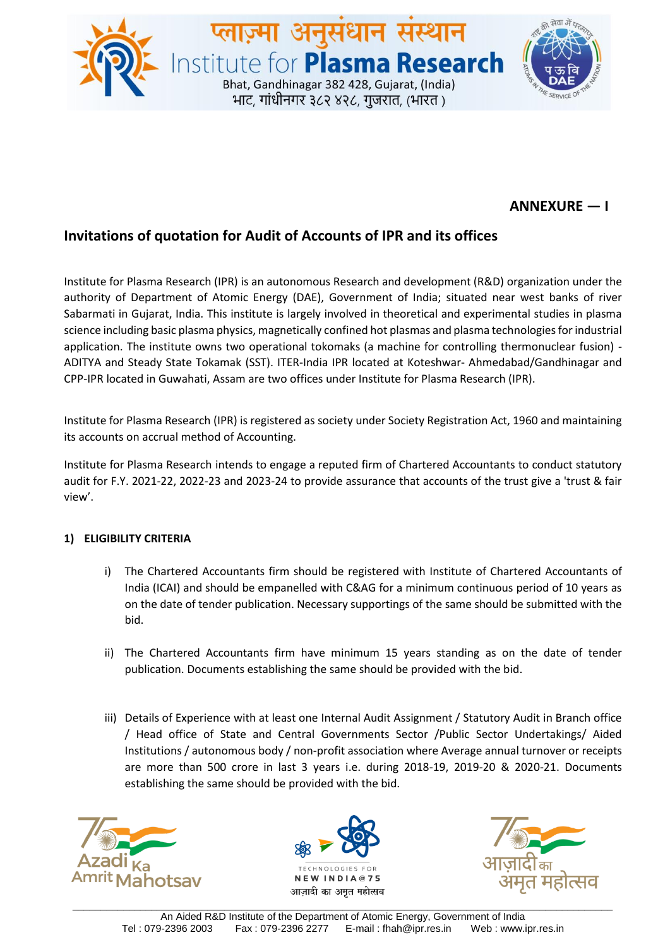

## **ANNEXURE — I**

## **Invitations of quotation for Audit of Accounts of IPR and its offices**

Institute for Plasma Research (IPR) is an autonomous Research and development (R&D) organization under the authority of Department of Atomic Energy (DAE), Government of India; situated near west banks of river Sabarmati in Gujarat, India. This institute is largely involved in theoretical and experimental studies in plasma science including basic plasma physics, magnetically confined hot plasmas and plasma technologies for industrial application. The institute owns two operational tokomaks (a machine for controlling thermonuclear fusion) - ADITYA and Steady State Tokamak (SST). ITER-India IPR located at Koteshwar- Ahmedabad/Gandhinagar and CPP-IPR located in Guwahati, Assam are two offices under Institute for Plasma Research (IPR).

Institute for Plasma Research (IPR) is registered as society under Society Registration Act, 1960 and maintaining its accounts on accrual method of Accounting.

Institute for Plasma Research intends to engage a reputed firm of Chartered Accountants to conduct statutory audit for F.Y. 2021-22, 2022-23 and 2023-24 to provide assurance that accounts of the trust give a 'trust & fair view'.

### **1) ELIGIBILITY CRITERIA**

- i) The Chartered Accountants firm should be registered with Institute of Chartered Accountants of India (ICAI) and should be empanelled with C&AG for a minimum continuous period of 10 years as on the date of tender publication. Necessary supportings of the same should be submitted with the bid.
- ii) The Chartered Accountants firm have minimum 15 years standing as on the date of tender publication. Documents establishing the same should be provided with the bid.
- iii) Details of Experience with at least one Internal Audit Assignment / Statutory Audit in Branch office / Head office of State and Central Governments Sector /Public Sector Undertakings/ Aided Institutions / autonomous body / non-profit association where Average annual turnover or receipts are more than 500 crore in last 3 years i.e. during 2018-19, 2019-20 & 2020-21. Documents establishing the same should be provided with the bid.





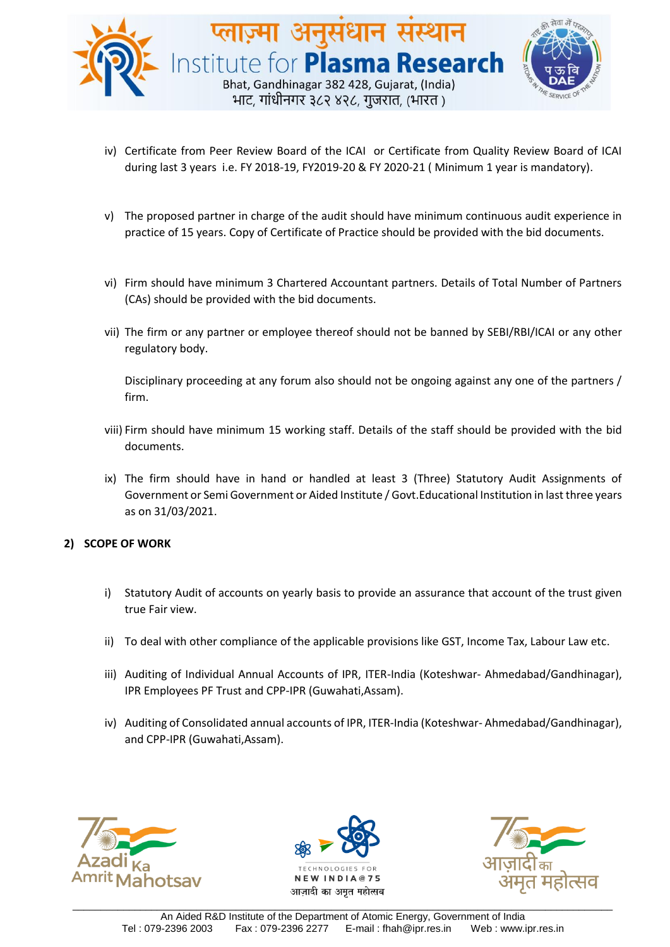

- iv) Certificate from Peer Review Board of the ICAI or Certificate from Quality Review Board of ICAI during last 3 years i.e. FY 2018-19, FY2019-20 & FY 2020-21 ( Minimum 1 year is mandatory).
- v) The proposed partner in charge of the audit should have minimum continuous audit experience in practice of 15 years. Copy of Certificate of Practice should be provided with the bid documents.
- vi) Firm should have minimum 3 Chartered Accountant partners. Details of Total Number of Partners (CAs) should be provided with the bid documents.
- vii) The firm or any partner or employee thereof should not be banned by SEBI/RBI/ICAI or any other regulatory body.

Disciplinary proceeding at any forum also should not be ongoing against any one of the partners / firm.

- viii) Firm should have minimum 15 working staff. Details of the staff should be provided with the bid documents.
- ix) The firm should have in hand or handled at least 3 (Three) Statutory Audit Assignments of Government or Semi Government or Aided Institute / Govt.Educational Institution in last three years as on 31/03/2021.

#### **2) SCOPE OF WORK**

- i) Statutory Audit of accounts on yearly basis to provide an assurance that account of the trust given true Fair view.
- ii) To deal with other compliance of the applicable provisions like GST, Income Tax, Labour Law etc.
- iii) Auditing of Individual Annual Accounts of IPR, ITER-India (Koteshwar- Ahmedabad/Gandhinagar), IPR Employees PF Trust and CPP-IPR (Guwahati,Assam).
- iv) Auditing of Consolidated annual accounts of IPR, ITER-India (Koteshwar- Ahmedabad/Gandhinagar), and CPP-IPR (Guwahati,Assam).





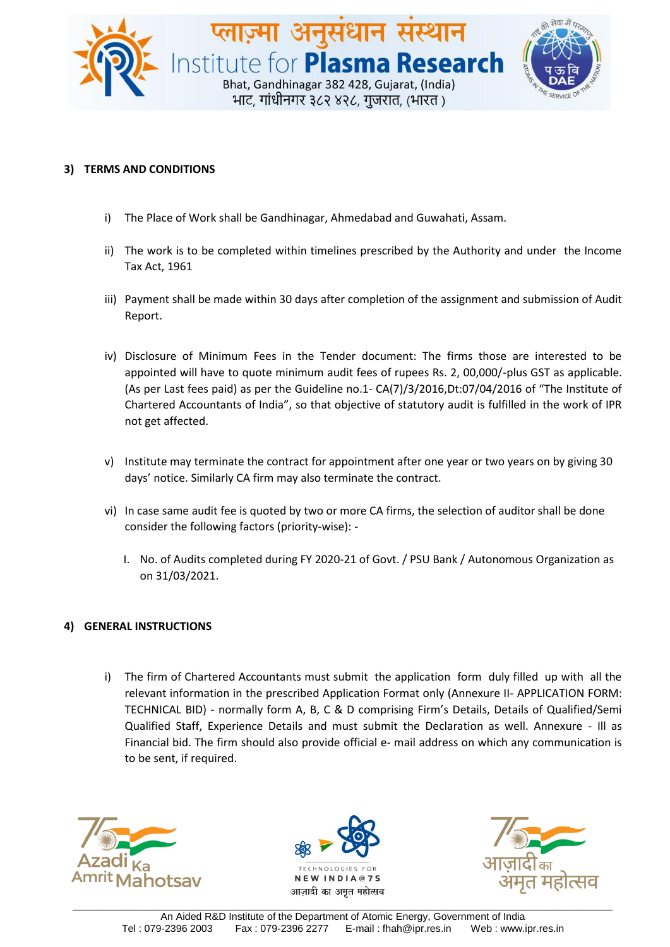

#### **3) TERMS AND CONDITIONS**

- i) The Place of Work shall be Gandhinagar, Ahmedabad and Guwahati, Assam.
- ii) The work is to be completed within timelines prescribed by the Authority and under the Income Tax Act, 1961
- iii) Payment shall be made within 30 days after completion of the assignment and submission of Audit Report.
- iv) Disclosure of Minimum Fees in the Tender document: The firms those are interested to be appointed will have to quote minimum audit fees of rupees Rs. 2, 00,000/-plus GST as applicable. (As per Last fees paid) as per the Guideline no.1- CA(7)/3/2016,Dt:07/04/2016 of "The Institute of Chartered Accountants of India", so that objective of statutory audit is fulfilled in the work of IPR not get affected.
- v) Institute may terminate the contract for appointment after one year or two years on by giving 30 days' notice. Similarly CA firm may also terminate the contract.
- vi) In case same audit fee is quoted by two or more CA firms, the selection of auditor shall be done consider the following factors (priority-wise): -
	- I. No. of Audits completed during FY 2020-21 of Govt. / PSU Bank / Autonomous Organization as on 31/03/2021.

#### **4) GENERAL INSTRUCTIONS**

i) The firm of Chartered Accountants must submit the application form duly filled up with all the relevant information in the prescribed Application Format only (Annexure II- APPLICATION FORM: TECHNICAL BID) - normally form A, B, C & D comprising Firm's Details, Details of Qualified/Semi Qualified Staff, Experience Details and must submit the Declaration as well. Annexure - Ill as Financial bid. The firm should also provide official e- mail address on which any communication is to be sent, if required.





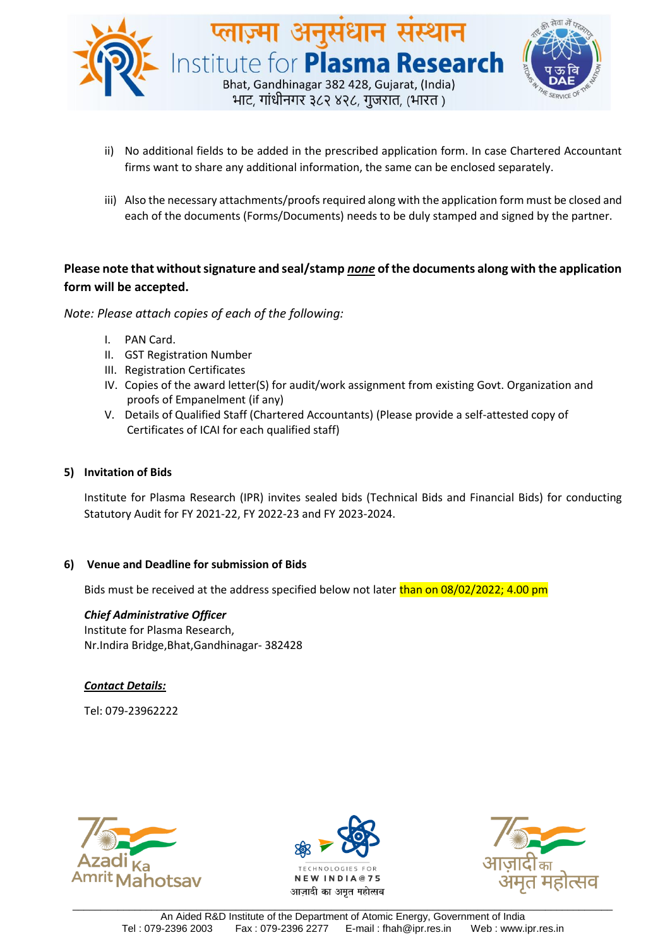

- ii) No additional fields to be added in the prescribed application form. In case Chartered Accountant firms want to share any additional information, the same can be enclosed separately.
- iii) Also the necessary attachments/proofs required along with the application form must be closed and each of the documents (Forms/Documents) needs to be duly stamped and signed by the partner.

## **Please note that without signature and seal/stamp** *none* **of the documents along with the application form will be accepted.**

*Note: Please attach copies of each of the following:*

- I. PAN Card.
- II. GST Registration Number
- III. Registration Certificates
- IV. Copies of the award letter(S) for audit/work assignment from existing Govt. Organization and proofs of Empanelment (if any)
- V. Details of Qualified Staff (Chartered Accountants) (Please provide a self-attested copy of Certificates of ICAI for each qualified staff)

#### **5) Invitation of Bids**

Institute for Plasma Research (IPR) invites sealed bids (Technical Bids and Financial Bids) for conducting Statutory Audit for FY 2021-22, FY 2022-23 and FY 2023-2024.

#### **6) Venue and Deadline for submission of Bids**

Bids must be received at the address specified below not later than on 08/02/2022; 4.00 pm

#### *Chief Administrative Officer*

Institute for Plasma Research, Nr.Indira Bridge,Bhat,Gandhinagar- 382428

#### *Contact Details:*

Tel: 079-23962222





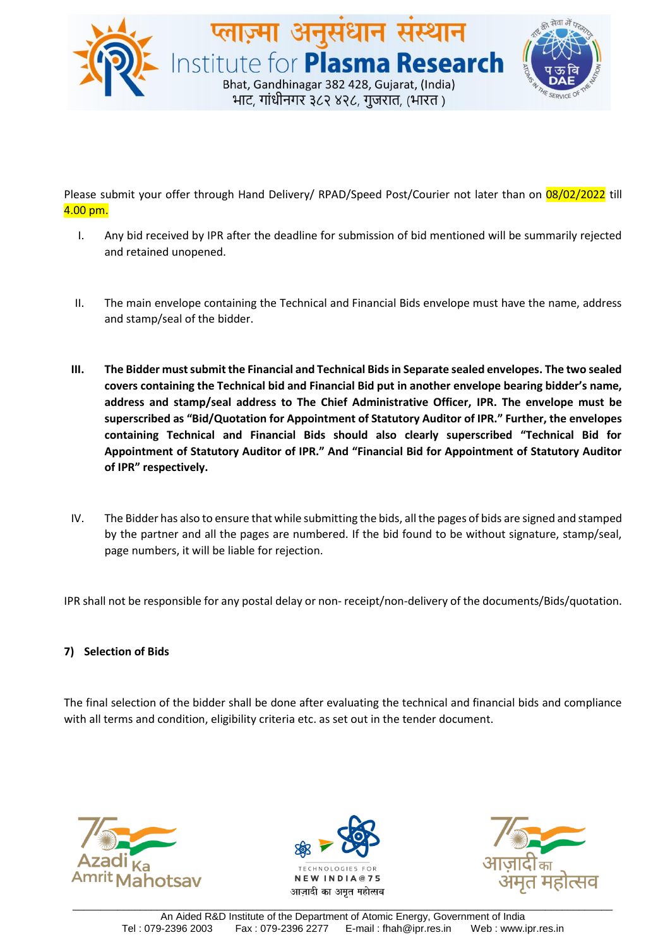

Please submit your offer through Hand Delivery/ RPAD/Speed Post/Courier not later than on 08/02/2022 till 4.00 pm.

- I. Any bid received by IPR after the deadline for submission of bid mentioned will be summarily rejected and retained unopened.
- II. The main envelope containing the Technical and Financial Bids envelope must have the name, address and stamp/seal of the bidder.
- **III. The Bidder must submit the Financial and Technical Bids in Separate sealed envelopes. The two sealed covers containing the Technical bid and Financial Bid put in another envelope bearing bidder's name, address and stamp/seal address to The Chief Administrative Officer, IPR. The envelope must be superscribed as "Bid/Quotation for Appointment of Statutory Auditor of IPR." Further, the envelopes containing Technical and Financial Bids should also clearly superscribed "Technical Bid for Appointment of Statutory Auditor of IPR." And "Financial Bid for Appointment of Statutory Auditor of IPR" respectively.**
- IV. The Bidder has also to ensure that while submitting the bids, all the pages of bids are signed and stamped by the partner and all the pages are numbered. If the bid found to be without signature, stamp/seal, page numbers, it will be liable for rejection.

IPR shall not be responsible for any postal delay or non- receipt/non-delivery of the documents/Bids/quotation.

#### **7) Selection of Bids**

The final selection of the bidder shall be done after evaluating the technical and financial bids and compliance with all terms and condition, eligibility criteria etc. as set out in the tender document.





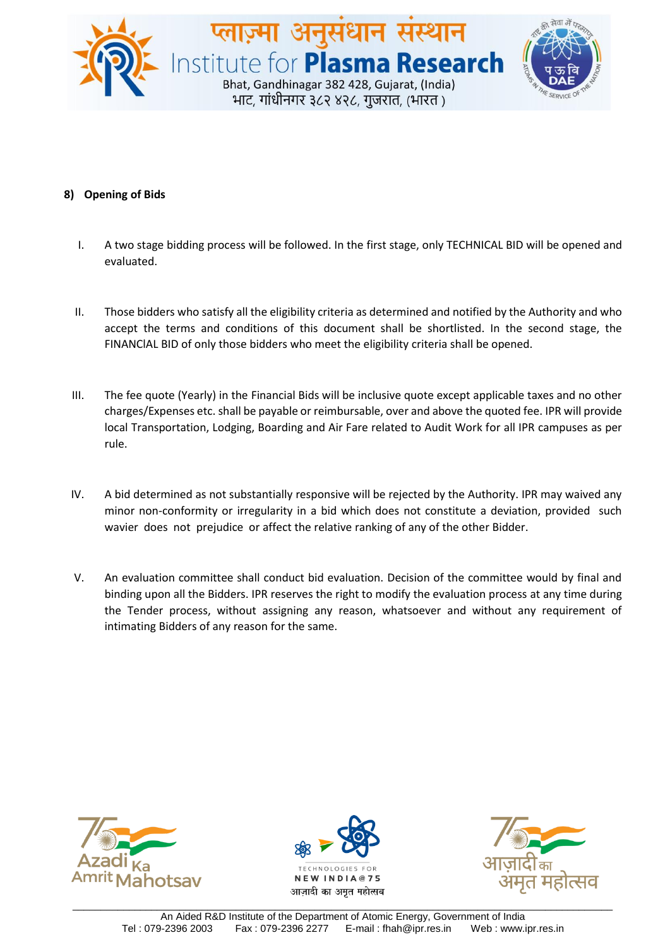

#### **8) Opening of Bids**

- I. A two stage bidding process will be followed. In the first stage, only TECHNICAL BID will be opened and evaluated.
- II. Those bidders who satisfy all the eligibility criteria as determined and notified by the Authority and who accept the terms and conditions of this document shall be shortlisted. In the second stage, the FINANClAL BID of only those bidders who meet the eligibility criteria shall be opened.
- III. The fee quote (Yearly) in the Financial Bids will be inclusive quote except applicable taxes and no other charges/Expenses etc. shall be payable or reimbursable, over and above the quoted fee. IPR will provide local Transportation, Lodging, Boarding and Air Fare related to Audit Work for all IPR campuses as per rule.
- IV. A bid determined as not substantially responsive will be rejected by the Authority. IPR may waived any minor non-conformity or irregularity in a bid which does not constitute a deviation, provided such wavier does not prejudice or affect the relative ranking of any of the other Bidder.
- V. An evaluation committee shall conduct bid evaluation. Decision of the committee would by final and binding upon all the Bidders. IPR reserves the right to modify the evaluation process at any time during the Tender process, without assigning any reason, whatsoever and without any requirement of intimating Bidders of any reason for the same.





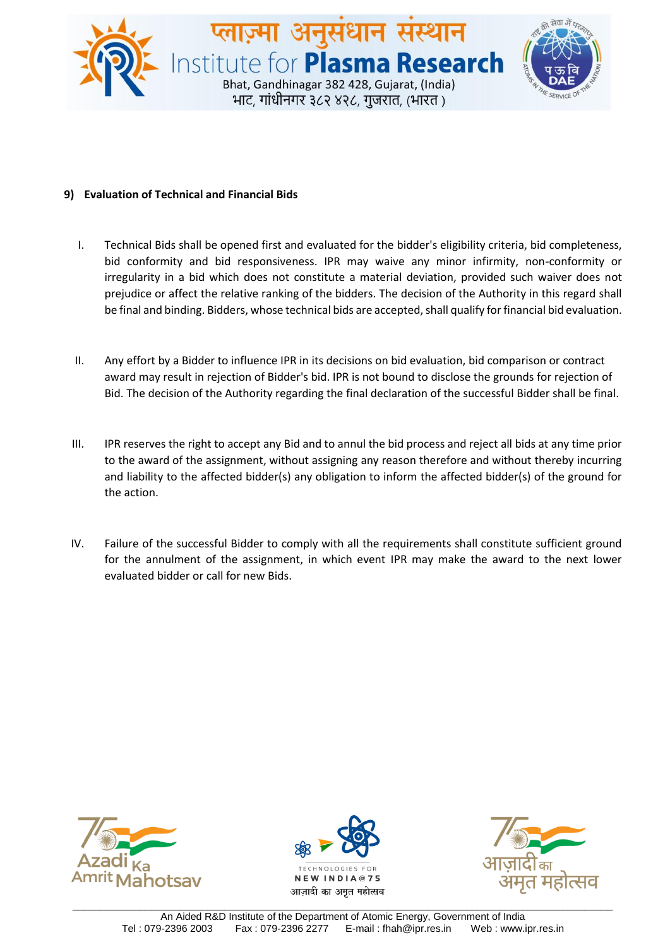

#### **9) Evaluation of Technical and Financial Bids**

- I. Technical Bids shall be opened first and evaluated for the bidder's eligibility criteria, bid completeness, bid conformity and bid responsiveness. IPR may waive any minor infirmity, non-conformity or irregularity in a bid which does not constitute a material deviation, provided such waiver does not prejudice or affect the relative ranking of the bidders. The decision of the Authority in this regard shall be final and binding. Bidders, whose technical bids are accepted, shall qualify for financial bid evaluation.
- II. Any effort by a Bidder to influence IPR in its decisions on bid evaluation, bid comparison or contract award may result in rejection of Bidder's bid. IPR is not bound to disclose the grounds for rejection of Bid. The decision of the Authority regarding the final declaration of the successful Bidder shall be final.
- III. IPR reserves the right to accept any Bid and to annul the bid process and reject all bids at any time prior to the award of the assignment, without assigning any reason therefore and without thereby incurring and liability to the affected bidder(s) any obligation to inform the affected bidder(s) of the ground for the action.
- IV. Failure of the successful Bidder to comply with all the requirements shall constitute sufficient ground for the annulment of the assignment, in which event IPR may make the award to the next lower evaluated bidder or call for new Bids.





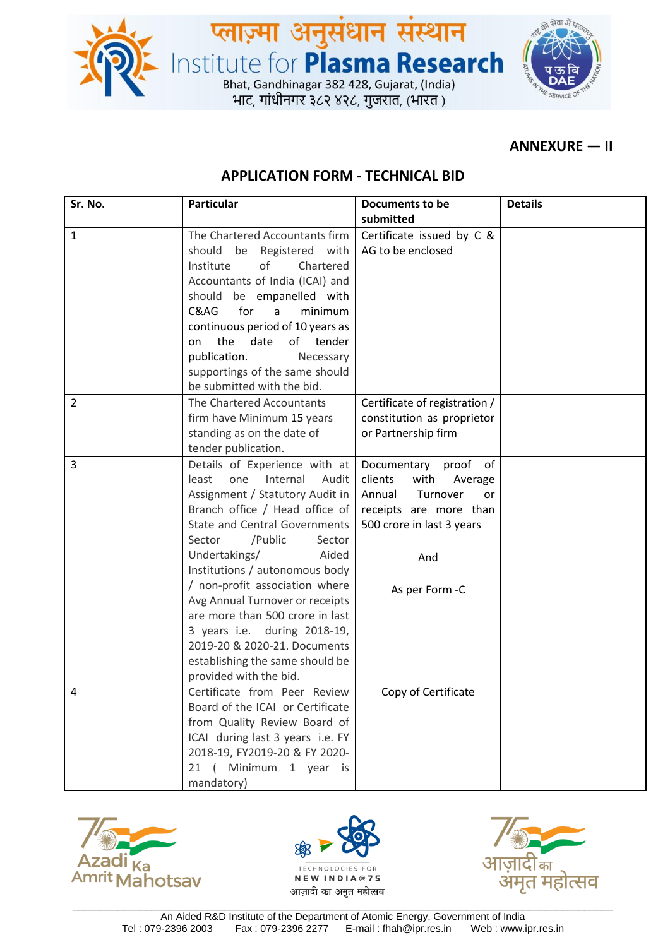



## **ANNEXURE — II**

## **APPLICATION FORM - TECHNICAL BID**

**प्लाज़्मा अनुसंधान संस्थान**<br>Institute for **Plasma Research**<br>Bhat, Gandhinagar 382 428, Gujarat, (India)<br>भाट, गांधीनगर ३८२ ४२८, गुजरात, (भारत)

| Sr. No.        | <b>Particular</b>                    | Documents to be               | <b>Details</b> |
|----------------|--------------------------------------|-------------------------------|----------------|
|                |                                      | submitted                     |                |
| $\mathbf{1}$   | The Chartered Accountants firm       | Certificate issued by C &     |                |
|                | should be<br>Registered with         | AG to be enclosed             |                |
|                | of<br>Institute<br>Chartered         |                               |                |
|                | Accountants of India (ICAI) and      |                               |                |
|                | should be empanelled with            |                               |                |
|                | for<br>C&AG<br>minimum<br>a          |                               |                |
|                | continuous period of 10 years as     |                               |                |
|                | the<br>of tender<br>date<br>on       |                               |                |
|                | publication.<br>Necessary            |                               |                |
|                | supportings of the same should       |                               |                |
|                | be submitted with the bid.           |                               |                |
| $\overline{2}$ | The Chartered Accountants            | Certificate of registration / |                |
|                | firm have Minimum 15 years           | constitution as proprietor    |                |
|                | standing as on the date of           | or Partnership firm           |                |
|                | tender publication.                  |                               |                |
| 3              | Details of Experience with at        | Documentary<br>proof of       |                |
|                | least<br>one<br>Internal<br>Audit    | clients<br>with<br>Average    |                |
|                | Assignment / Statutory Audit in      | Annual<br>Turnover<br>or      |                |
|                | Branch office / Head office of       | receipts are more than        |                |
|                | <b>State and Central Governments</b> | 500 crore in last 3 years     |                |
|                | /Public<br>Sector<br>Sector          |                               |                |
|                | Undertakings/<br>Aided               | And                           |                |
|                | Institutions / autonomous body       |                               |                |
|                | / non-profit association where       | As per Form -C                |                |
|                | Avg Annual Turnover or receipts      |                               |                |
|                | are more than 500 crore in last      |                               |                |
|                | 3 years i.e. during 2018-19,         |                               |                |
|                | 2019-20 & 2020-21. Documents         |                               |                |
|                | establishing the same should be      |                               |                |
|                | provided with the bid.               |                               |                |
| 4              | Certificate from Peer Review         | Copy of Certificate           |                |
|                | Board of the ICAI or Certificate     |                               |                |
|                | from Quality Review Board of         |                               |                |
|                | ICAI during last 3 years i.e. FY     |                               |                |
|                | 2018-19, FY2019-20 & FY 2020-        |                               |                |
|                | Minimum 1 year is<br>21(             |                               |                |
|                | mandatory)                           |                               |                |





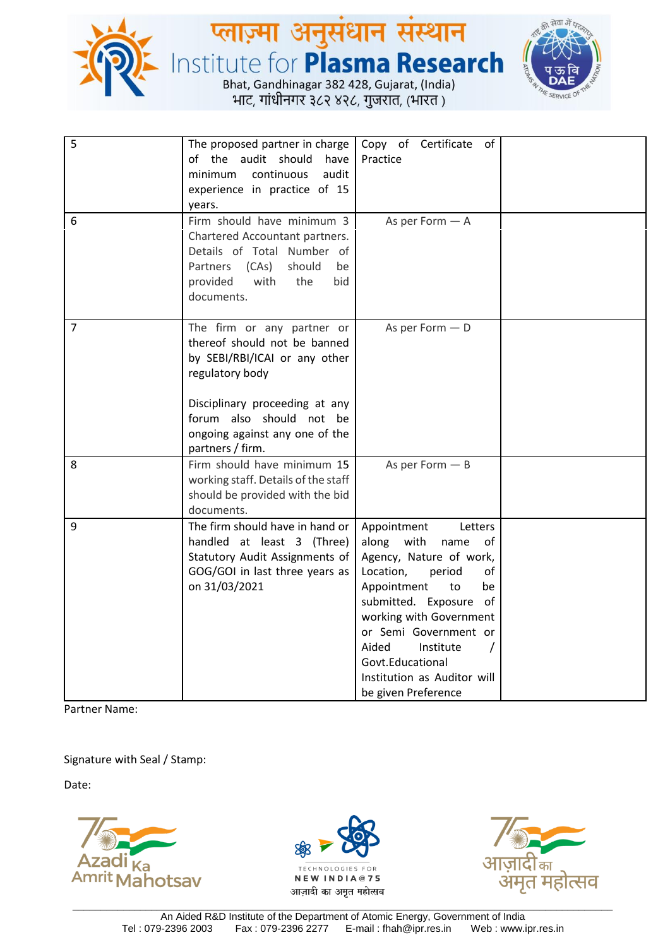

# **प्लाज़्मा अनुसंधान संस्थान**<br>Institute for **Plasma Research**<br>Bhat, Gandhinagar 382 428, Gujarat, (India)<br>भाट, गांधीनगर ३८२ ४२८, गुजरात, (भारत)



| 5<br>6         | The proposed partner in charge<br>of the audit should<br>have<br>continuous<br>audit<br>minimum<br>experience in practice of 15<br>years.<br>Firm should have minimum 3                                                            | Copy of Certificate of<br>Practice<br>As per Form $-$ A                                                                                                                                                                                                                                                                         |  |
|----------------|------------------------------------------------------------------------------------------------------------------------------------------------------------------------------------------------------------------------------------|---------------------------------------------------------------------------------------------------------------------------------------------------------------------------------------------------------------------------------------------------------------------------------------------------------------------------------|--|
|                | Chartered Accountant partners.<br>Details of Total Number of<br>Partners<br>(CAs)<br>should<br>be<br>provided<br>with<br>the<br>bid<br>documents.                                                                                  |                                                                                                                                                                                                                                                                                                                                 |  |
| $\overline{7}$ | The firm or any partner or<br>thereof should not be banned<br>by SEBI/RBI/ICAI or any other<br>regulatory body<br>Disciplinary proceeding at any<br>forum also should not be<br>ongoing against any one of the<br>partners / firm. | As per Form $-$ D                                                                                                                                                                                                                                                                                                               |  |
| 8              | Firm should have minimum 15<br>working staff. Details of the staff<br>should be provided with the bid<br>documents.                                                                                                                | As per Form $-$ B                                                                                                                                                                                                                                                                                                               |  |
| 9              | The firm should have in hand or<br>handled at least 3 (Three)<br>Statutory Audit Assignments of<br>GOG/GOI in last three years as<br>on 31/03/2021                                                                                 | Appointment<br>Letters<br>along with<br>of<br>name<br>Agency, Nature of work,<br>Location,<br>of<br>period<br>Appointment<br>to<br>be<br>submitted. Exposure of<br>working with Government<br>or Semi Government or<br>Aided<br>Institute<br>$\prime$<br>Govt.Educational<br>Institution as Auditor will<br>be given Preference |  |

Partner Name:

Signature with Seal / Stamp:





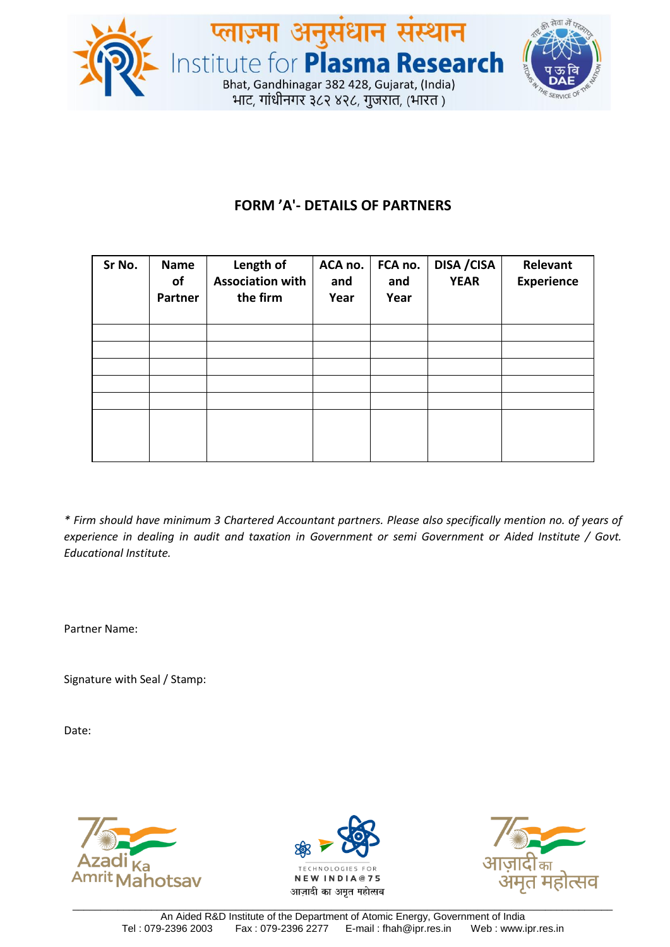



# **FORM 'A'- DETAILS OF PARTNERS**

| Sr No. | <b>Name</b><br>οf<br><b>Partner</b> | Length of<br><b>Association with</b><br>the firm | ACA no.<br>and<br>Year | FCA no.<br>and<br>Year | <b>DISA / CISA</b><br><b>YEAR</b> | Relevant<br><b>Experience</b> |
|--------|-------------------------------------|--------------------------------------------------|------------------------|------------------------|-----------------------------------|-------------------------------|
|        |                                     |                                                  |                        |                        |                                   |                               |
|        |                                     |                                                  |                        |                        |                                   |                               |
|        |                                     |                                                  |                        |                        |                                   |                               |
|        |                                     |                                                  |                        |                        |                                   |                               |
|        |                                     |                                                  |                        |                        |                                   |                               |
|        |                                     |                                                  |                        |                        |                                   |                               |

*\* Firm should have minimum 3 Chartered Accountant partners. Please also specifically mention no. of years of experience in dealing in audit and taxation in Government or semi Government or Aided Institute / Govt. Educational Institute.*

Partner Name:

Signature with Seal / Stamp:





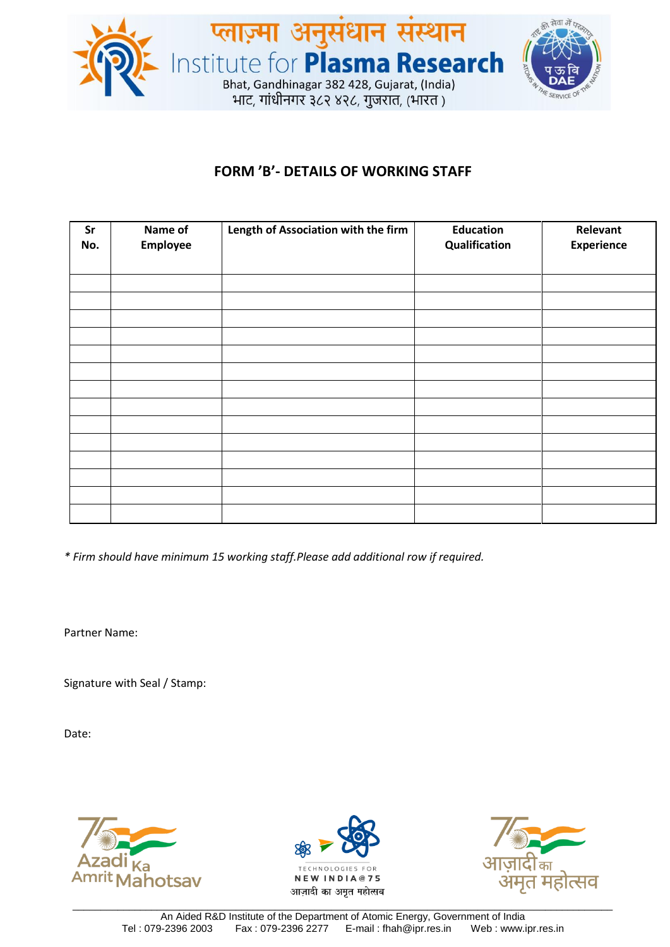

## **FORM 'B'- DETAILS OF WORKING STAFF**

| Sr<br>No. | Name of<br>Employee | Length of Association with the firm | <b>Education</b><br>Qualification | Relevant<br><b>Experience</b> |
|-----------|---------------------|-------------------------------------|-----------------------------------|-------------------------------|
|           |                     |                                     |                                   |                               |
|           |                     |                                     |                                   |                               |
|           |                     |                                     |                                   |                               |
|           |                     |                                     |                                   |                               |
|           |                     |                                     |                                   |                               |
|           |                     |                                     |                                   |                               |
|           |                     |                                     |                                   |                               |
|           |                     |                                     |                                   |                               |
|           |                     |                                     |                                   |                               |
|           |                     |                                     |                                   |                               |
|           |                     |                                     |                                   |                               |
|           |                     |                                     |                                   |                               |
|           |                     |                                     |                                   |                               |
|           |                     |                                     |                                   |                               |

*\* Firm should have minimum 15 working staff.Please add additional row if required.*

Partner Name:

Signature with Seal / Stamp:





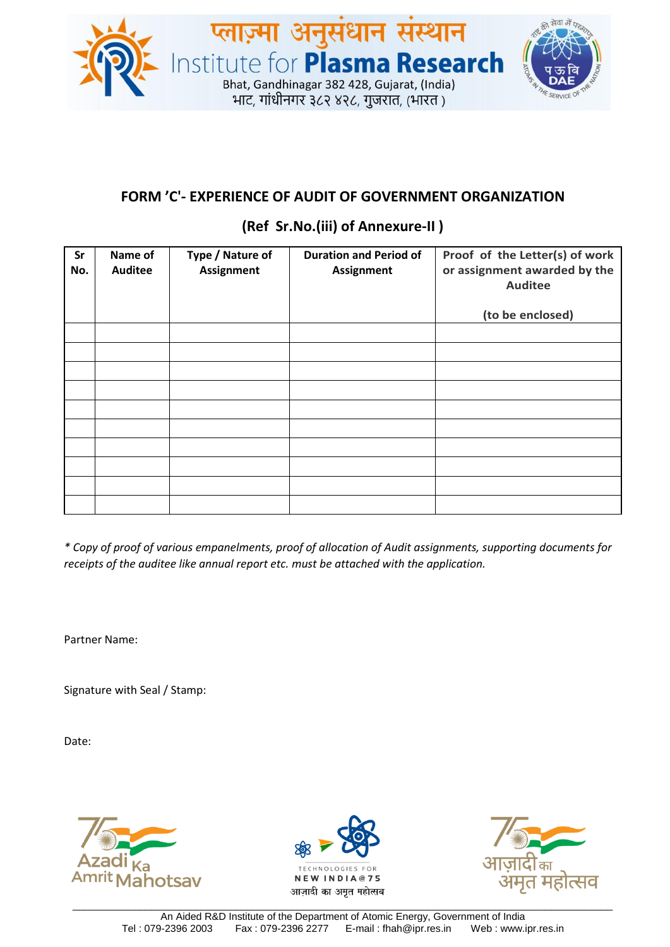

## **FORM 'C'- EXPERIENCE OF AUDIT OF GOVERNMENT ORGANIZATION**

## **(Ref Sr.No.(iii) of Annexure-II )**

| Sr<br>No. | Name of<br><b>Auditee</b> | Type / Nature of<br><b>Assignment</b> | <b>Duration and Period of</b><br><b>Assignment</b> | Proof of the Letter(s) of work<br>or assignment awarded by the<br><b>Auditee</b> |
|-----------|---------------------------|---------------------------------------|----------------------------------------------------|----------------------------------------------------------------------------------|
|           |                           |                                       |                                                    | (to be enclosed)                                                                 |
|           |                           |                                       |                                                    |                                                                                  |
|           |                           |                                       |                                                    |                                                                                  |
|           |                           |                                       |                                                    |                                                                                  |
|           |                           |                                       |                                                    |                                                                                  |
|           |                           |                                       |                                                    |                                                                                  |
|           |                           |                                       |                                                    |                                                                                  |
|           |                           |                                       |                                                    |                                                                                  |
|           |                           |                                       |                                                    |                                                                                  |
|           |                           |                                       |                                                    |                                                                                  |
|           |                           |                                       |                                                    |                                                                                  |

*\* Copy of proof of various empanelments, proof of allocation of Audit assignments, supporting documents for receipts of the auditee like annual report etc. must be attached with the application.*

Partner Name:

Signature with Seal / Stamp:





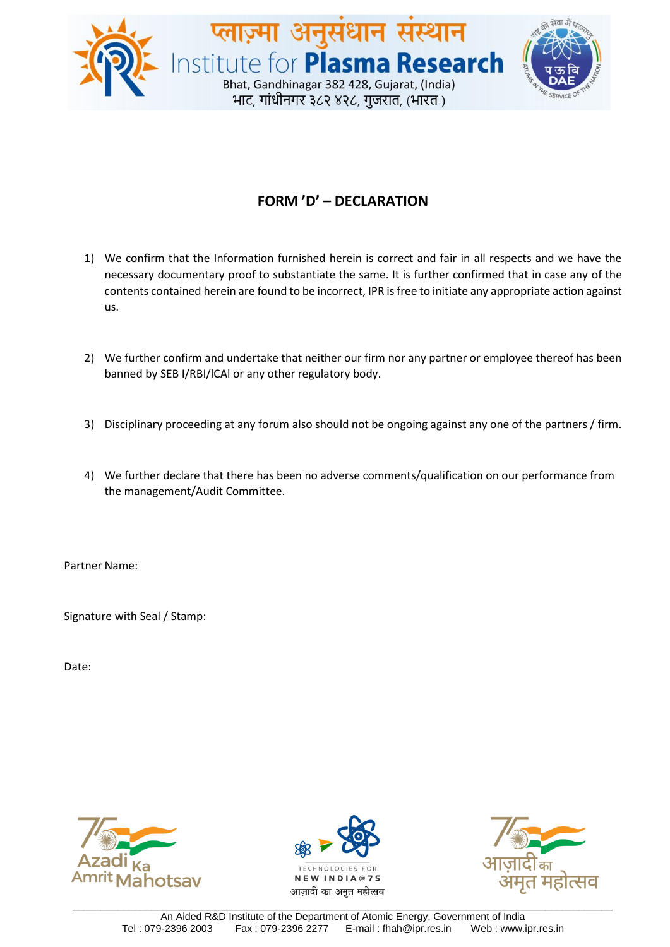

# **FORM 'D' – DECLARATION**

- 1) We confirm that the Information furnished herein is correct and fair in all respects and we have the necessary documentary proof to substantiate the same. It is further confirmed that in case any of the contents contained herein are found to be incorrect, IPR is free to initiate any appropriate action against us.
- 2) We further confirm and undertake that neither our firm nor any partner or employee thereof has been banned by SEB I/RBI/lCAl or any other regulatory body.
- 3) Disciplinary proceeding at any forum also should not be ongoing against any one of the partners / firm.
- 4) We further declare that there has been no adverse comments/qualification on our performance from the management/Audit Committee.

Partner Name:

Signature with Seal / Stamp: